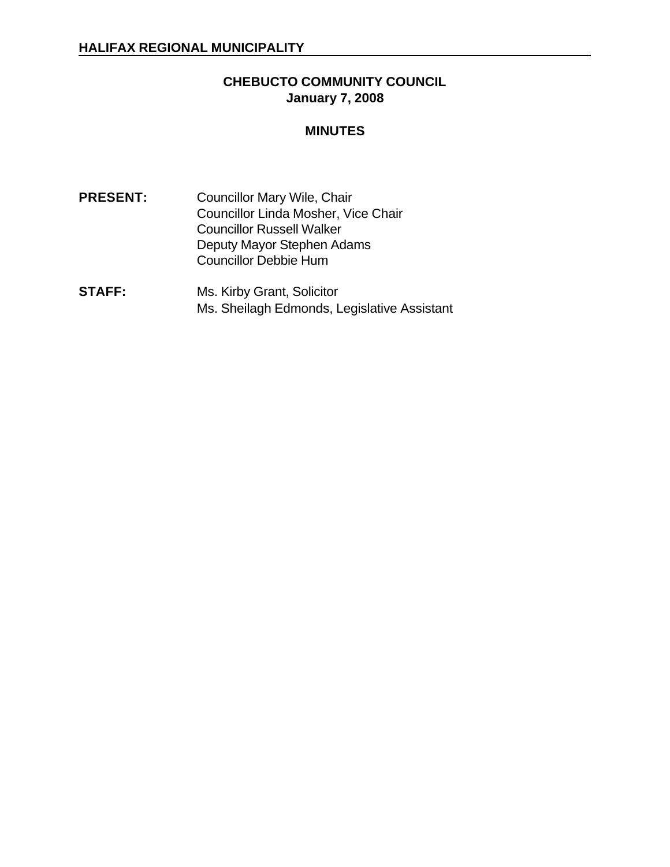## **CHEBUCTO COMMUNITY COUNCIL January 7, 2008**

### **MINUTES**

- **PRESENT:** Councillor Mary Wile, Chair Councillor Linda Mosher, Vice Chair Councillor Russell Walker Deputy Mayor Stephen Adams Councillor Debbie Hum
- **STAFF:** Ms. Kirby Grant, Solicitor Ms. Sheilagh Edmonds, Legislative Assistant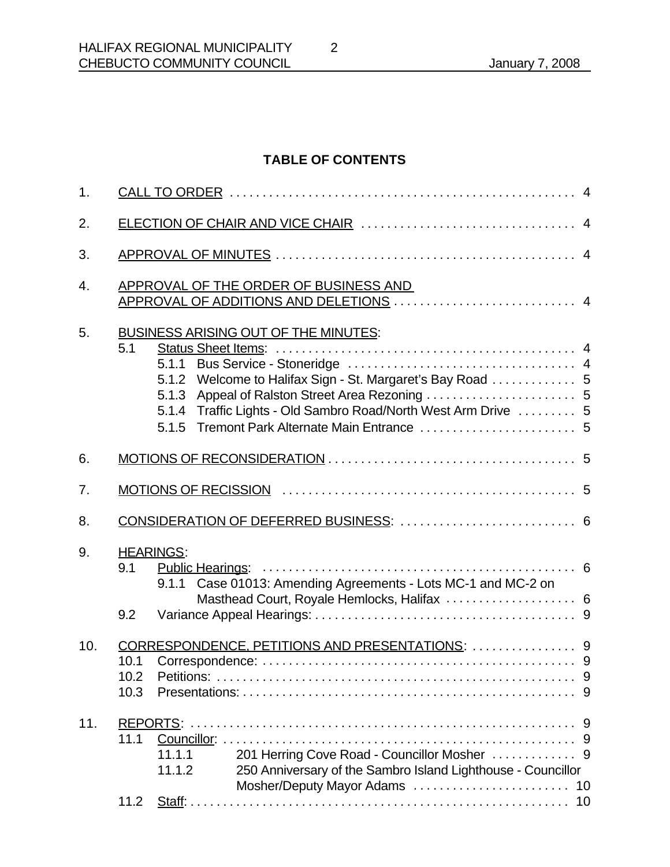# **TABLE OF CONTENTS**

| APPROVAL OF THE ORDER OF BUSINESS AND<br>APPROVAL OF ADDITIONS AND DELETIONS  4                                                                                                 |                                                                                                                                                                                     |  |  |  |
|---------------------------------------------------------------------------------------------------------------------------------------------------------------------------------|-------------------------------------------------------------------------------------------------------------------------------------------------------------------------------------|--|--|--|
|                                                                                                                                                                                 |                                                                                                                                                                                     |  |  |  |
|                                                                                                                                                                                 |                                                                                                                                                                                     |  |  |  |
|                                                                                                                                                                                 |                                                                                                                                                                                     |  |  |  |
| 5.1.2 Welcome to Halifax Sign - St. Margaret's Bay Road  5<br>5.1.3 Appeal of Ralston Street Area Rezoning  5<br>5.1.4 Traffic Lights - Old Sambro Road/North West Arm Drive  5 |                                                                                                                                                                                     |  |  |  |
|                                                                                                                                                                                 |                                                                                                                                                                                     |  |  |  |
|                                                                                                                                                                                 |                                                                                                                                                                                     |  |  |  |
| CONSIDERATION OF DEFERRED BUSINESS:  6                                                                                                                                          |                                                                                                                                                                                     |  |  |  |
| 9.1.1 Case 01013: Amending Agreements - Lots MC-1 and MC-2 on<br>Masthead Court, Royale Hemlocks, Halifax  6                                                                    |                                                                                                                                                                                     |  |  |  |
|                                                                                                                                                                                 |                                                                                                                                                                                     |  |  |  |
| 201 Herring Cove Road - Councillor Mosher  9<br>11.1.1<br>250 Anniversary of the Sambro Island Lighthouse - Councillor<br>11.1.2                                                |                                                                                                                                                                                     |  |  |  |
|                                                                                                                                                                                 | BUSINESS ARISING OUT OF THE MINUTES:<br>5.1<br><b>HEARINGS:</b><br>9.1<br>9.2<br>CORRESPONDENCE, PETITIONS AND PRESENTATIONS:  9<br>10.1<br>10.2 Petitions:<br>10.3<br>11.1<br>11.2 |  |  |  |

2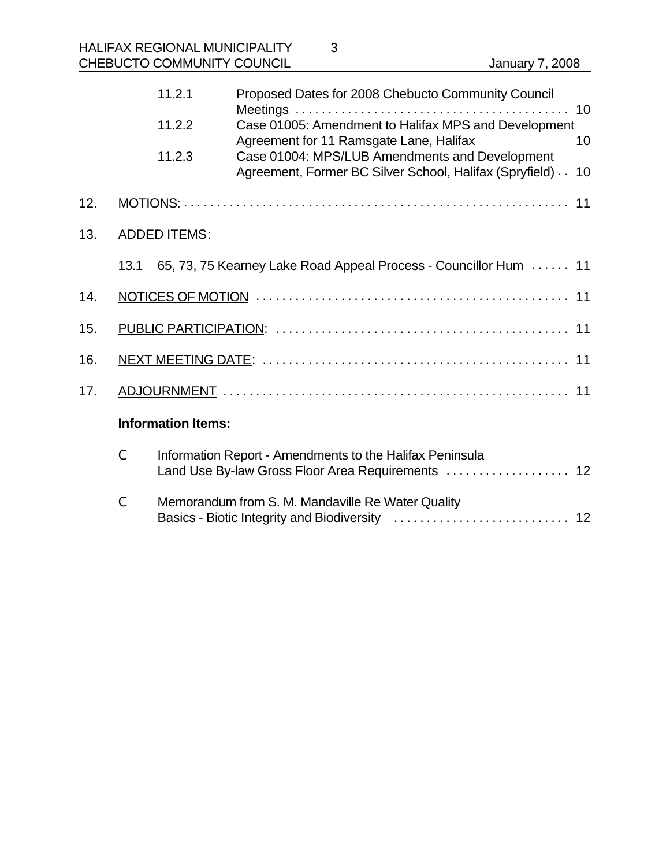|     |      | 11.2.1                    | Proposed Dates for 2008 Chebucto Community Council                                                            |    |
|-----|------|---------------------------|---------------------------------------------------------------------------------------------------------------|----|
|     |      | 11.2.2                    | Case 01005: Amendment to Halifax MPS and Development<br>Agreement for 11 Ramsgate Lane, Halifax               | 10 |
|     |      | 11.2.3                    | Case 01004: MPS/LUB Amendments and Development<br>Agreement, Former BC Silver School, Halifax (Spryfield) 10  |    |
| 12. |      |                           |                                                                                                               |    |
| 13. |      | <b>ADDED ITEMS:</b>       |                                                                                                               |    |
|     | 13.1 |                           | 65, 73, 75 Kearney Lake Road Appeal Process - Councillor Hum  11                                              |    |
| 14. |      |                           |                                                                                                               |    |
| 15. |      |                           |                                                                                                               |    |
| 16. |      |                           |                                                                                                               |    |
| 17. |      |                           |                                                                                                               |    |
|     |      | <b>Information Items:</b> |                                                                                                               |    |
|     | C    |                           | Information Report - Amendments to the Halifax Peninsula<br>Land Use By-law Gross Floor Area Requirements  12 |    |

C Memorandum from S. M. Mandaville Re Water Quality Basics - Biotic Integrity and Biodiversity ........................... 12

3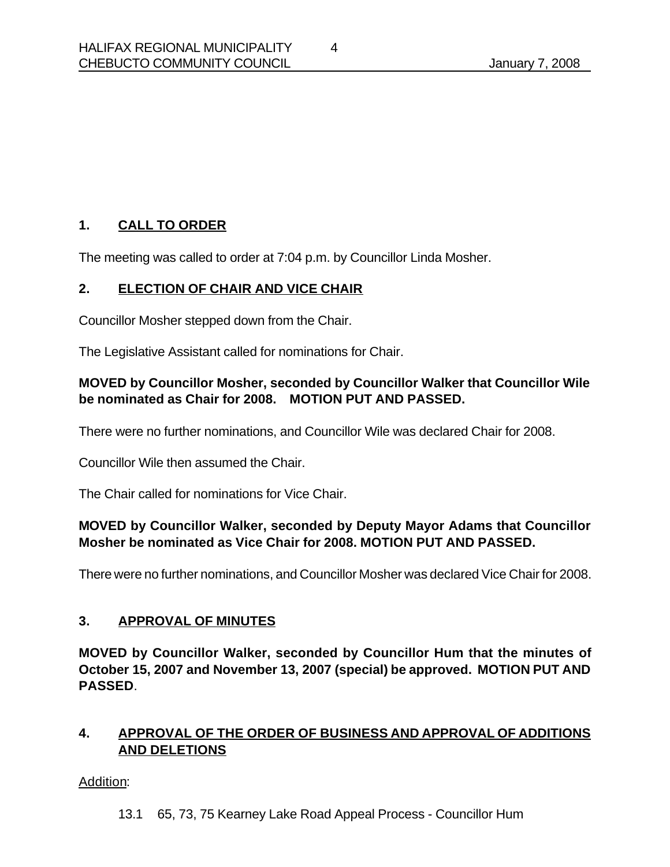# **1. CALL TO ORDER**

The meeting was called to order at 7:04 p.m. by Councillor Linda Mosher.

### **2. ELECTION OF CHAIR AND VICE CHAIR**

Councillor Mosher stepped down from the Chair.

The Legislative Assistant called for nominations for Chair.

### **MOVED by Councillor Mosher, seconded by Councillor Walker that Councillor Wile be nominated as Chair for 2008. MOTION PUT AND PASSED.**

There were no further nominations, and Councillor Wile was declared Chair for 2008.

Councillor Wile then assumed the Chair.

The Chair called for nominations for Vice Chair.

### **MOVED by Councillor Walker, seconded by Deputy Mayor Adams that Councillor Mosher be nominated as Vice Chair for 2008. MOTION PUT AND PASSED.**

There were no further nominations, and Councillor Mosher was declared Vice Chair for 2008.

#### **3. APPROVAL OF MINUTES**

**MOVED by Councillor Walker, seconded by Councillor Hum that the minutes of October 15, 2007 and November 13, 2007 (special) be approved. MOTION PUT AND PASSED**.

## **4. APPROVAL OF THE ORDER OF BUSINESS AND APPROVAL OF ADDITIONS AND DELETIONS**

Addition:

13.1 65, 73, 75 Kearney Lake Road Appeal Process - Councillor Hum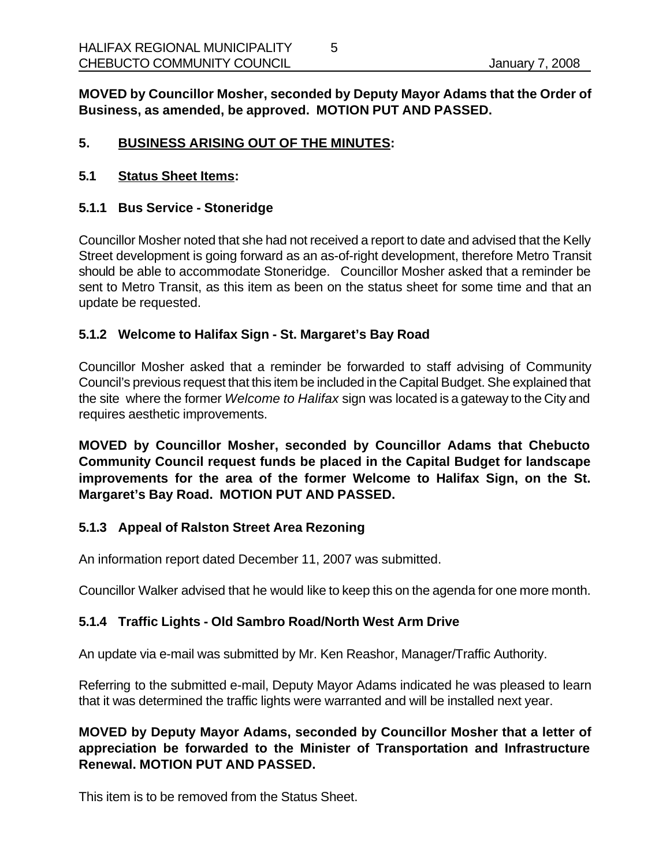**MOVED by Councillor Mosher, seconded by Deputy Mayor Adams that the Order of Business, as amended, be approved. MOTION PUT AND PASSED.**

### **5. BUSINESS ARISING OUT OF THE MINUTES:**

#### **5.1 Status Sheet Items:**

#### **5.1.1 Bus Service - Stoneridge**

Councillor Mosher noted that she had not received a report to date and advised that the Kelly Street development is going forward as an as-of-right development, therefore Metro Transit should be able to accommodate Stoneridge. Councillor Mosher asked that a reminder be sent to Metro Transit, as this item as been on the status sheet for some time and that an update be requested.

#### **5.1.2 Welcome to Halifax Sign - St. Margaret's Bay Road**

Councillor Mosher asked that a reminder be forwarded to staff advising of Community Council's previous request that this item be included in the Capital Budget. She explained that the site where the former *Welcome to Halifax* sign was located is a gateway to the City and requires aesthetic improvements.

**MOVED by Councillor Mosher, seconded by Councillor Adams that Chebucto Community Council request funds be placed in the Capital Budget for landscape improvements for the area of the former Welcome to Halifax Sign, on the St. Margaret's Bay Road. MOTION PUT AND PASSED.**

#### **5.1.3 Appeal of Ralston Street Area Rezoning**

An information report dated December 11, 2007 was submitted.

Councillor Walker advised that he would like to keep this on the agenda for one more month.

#### **5.1.4 Traffic Lights - Old Sambro Road/North West Arm Drive**

An update via e-mail was submitted by Mr. Ken Reashor, Manager/Traffic Authority.

Referring to the submitted e-mail, Deputy Mayor Adams indicated he was pleased to learn that it was determined the traffic lights were warranted and will be installed next year.

**MOVED by Deputy Mayor Adams, seconded by Councillor Mosher that a letter of appreciation be forwarded to the Minister of Transportation and Infrastructure Renewal. MOTION PUT AND PASSED.**

This item is to be removed from the Status Sheet.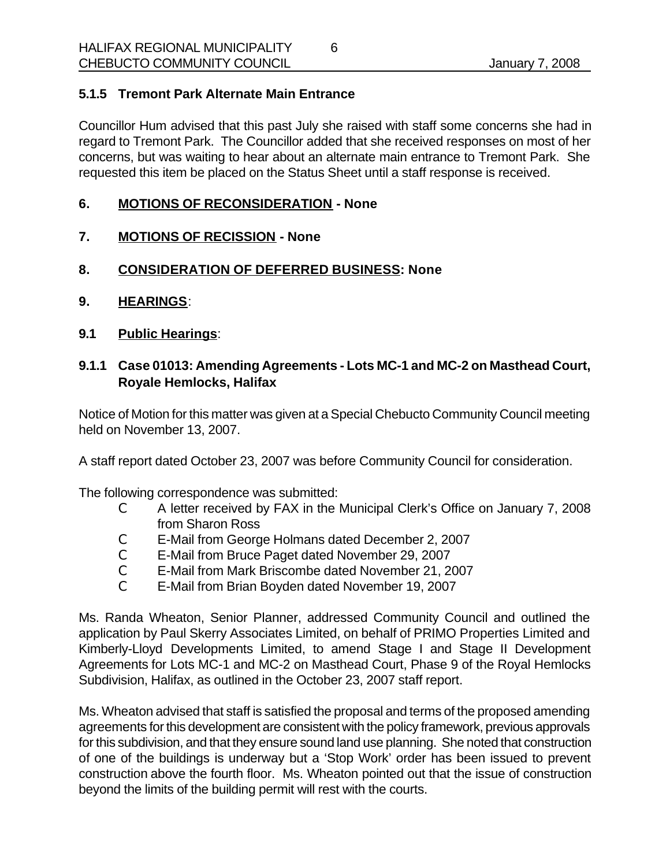### **5.1.5 Tremont Park Alternate Main Entrance**

Councillor Hum advised that this past July she raised with staff some concerns she had in regard to Tremont Park. The Councillor added that she received responses on most of her concerns, but was waiting to hear about an alternate main entrance to Tremont Park. She requested this item be placed on the Status Sheet until a staff response is received.

#### **6. MOTIONS OF RECONSIDERATION - None**

- **7. MOTIONS OF RECISSION None**
- **8. CONSIDERATION OF DEFERRED BUSINESS: None**
- **9. HEARINGS**:
- **9.1 Public Hearings**:

### **9.1.1 Case 01013: Amending Agreements - Lots MC-1 and MC-2 on Masthead Court, Royale Hemlocks, Halifax**

Notice of Motion for this matter was given at a Special Chebucto Community Council meeting held on November 13, 2007.

A staff report dated October 23, 2007 was before Community Council for consideration.

The following correspondence was submitted:

- C A letter received by FAX in the Municipal Clerk's Office on January 7, 2008 from Sharon Ross
- C E-Mail from George Holmans dated December 2, 2007
- C E-Mail from Bruce Paget dated November 29, 2007
- C E-Mail from Mark Briscombe dated November 21, 2007
- C E-Mail from Brian Boyden dated November 19, 2007

Ms. Randa Wheaton, Senior Planner, addressed Community Council and outlined the application by Paul Skerry Associates Limited, on behalf of PRIMO Properties Limited and Kimberly-Lloyd Developments Limited, to amend Stage I and Stage II Development Agreements for Lots MC-1 and MC-2 on Masthead Court, Phase 9 of the Royal Hemlocks Subdivision, Halifax, as outlined in the October 23, 2007 staff report.

Ms. Wheaton advised that staff is satisfied the proposal and terms of the proposed amending agreements for this development are consistent with the policy framework, previous approvals for this subdivision, and that they ensure sound land use planning. She noted that construction of one of the buildings is underway but a 'Stop Work' order has been issued to prevent construction above the fourth floor. Ms. Wheaton pointed out that the issue of construction beyond the limits of the building permit will rest with the courts.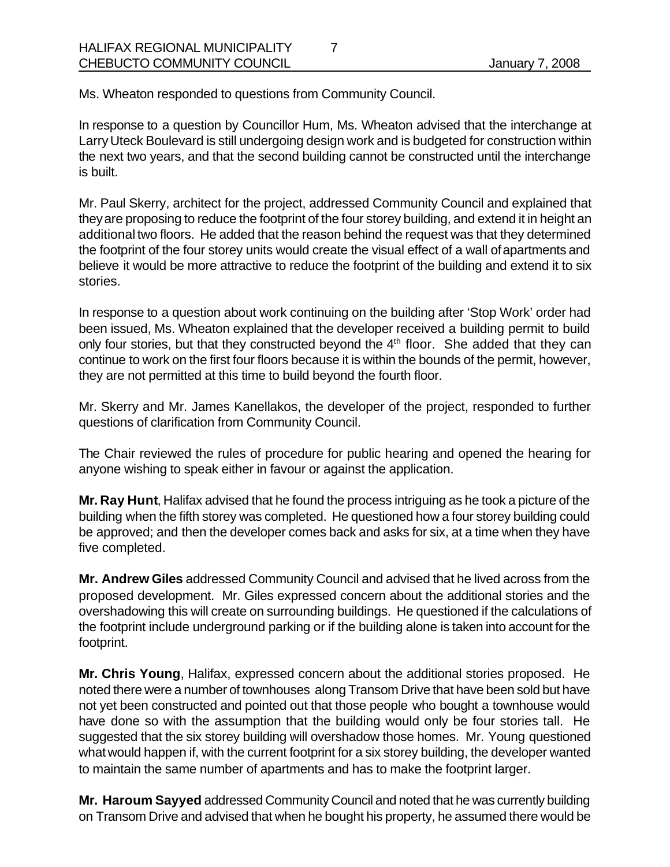Ms. Wheaton responded to questions from Community Council.

In response to a question by Councillor Hum, Ms. Wheaton advised that the interchange at Larry Uteck Boulevard is still undergoing design work and is budgeted for construction within the next two years, and that the second building cannot be constructed until the interchange is built.

Mr. Paul Skerry, architect for the project, addressed Community Council and explained that they are proposing to reduce the footprint of the four storey building, and extend it in height an additional two floors. He added that the reason behind the request was that they determined the footprint of the four storey units would create the visual effect of a wall of apartments and believe it would be more attractive to reduce the footprint of the building and extend it to six stories.

In response to a question about work continuing on the building after 'Stop Work' order had been issued, Ms. Wheaton explained that the developer received a building permit to build only four stories, but that they constructed beyond the 4<sup>th</sup> floor. She added that they can continue to work on the first four floors because it is within the bounds of the permit, however, they are not permitted at this time to build beyond the fourth floor.

Mr. Skerry and Mr. James Kanellakos, the developer of the project, responded to further questions of clarification from Community Council.

The Chair reviewed the rules of procedure for public hearing and opened the hearing for anyone wishing to speak either in favour or against the application.

**Mr. Ray Hunt**, Halifax advised that he found the process intriguing as he took a picture of the building when the fifth storey was completed. He questioned how a four storey building could be approved; and then the developer comes back and asks for six, at a time when they have five completed.

**Mr. Andrew Giles** addressed Community Council and advised that he lived across from the proposed development. Mr. Giles expressed concern about the additional stories and the overshadowing this will create on surrounding buildings. He questioned if the calculations of the footprint include underground parking or if the building alone is taken into account for the footprint.

**Mr. Chris Young**, Halifax, expressed concern about the additional stories proposed. He noted there were a number of townhouses along Transom Drive that have been sold but have not yet been constructed and pointed out that those people who bought a townhouse would have done so with the assumption that the building would only be four stories tall. He suggested that the six storey building will overshadow those homes. Mr. Young questioned what would happen if, with the current footprint for a six storey building, the developer wanted to maintain the same number of apartments and has to make the footprint larger.

**Mr. Haroum Sayyed** addressed Community Council and noted that he was currently building on Transom Drive and advised that when he bought his property, he assumed there would be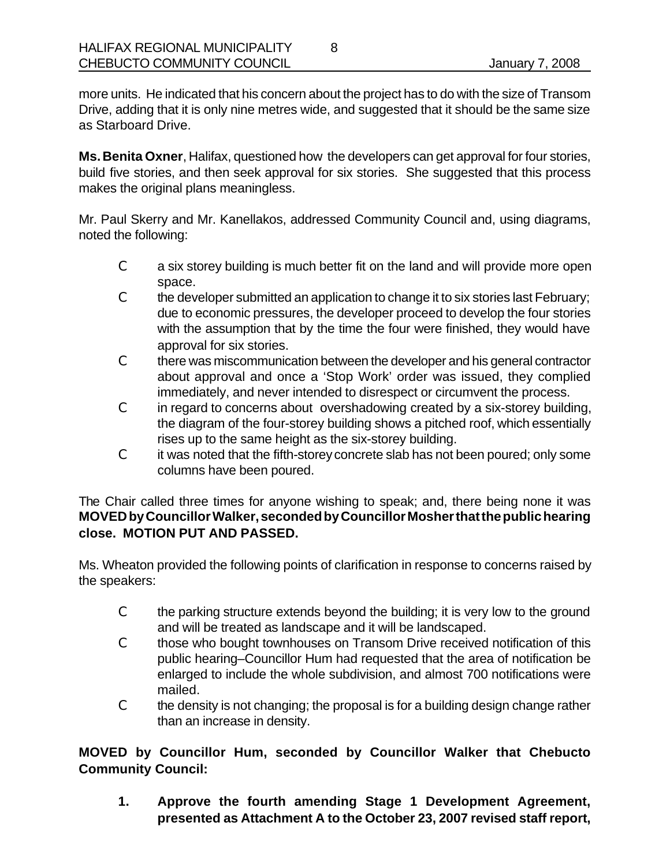more units. He indicated that his concern about the project has to do with the size of Transom Drive, adding that it is only nine metres wide, and suggested that it should be the same size as Starboard Drive.

**Ms. Benita Oxner**, Halifax, questioned how the developers can get approval for four stories, build five stories, and then seek approval for six stories. She suggested that this process makes the original plans meaningless.

Mr. Paul Skerry and Mr. Kanellakos, addressed Community Council and, using diagrams, noted the following:

- C a six storey building is much better fit on the land and will provide more open space.
- C the developer submitted an application to change it to six stories last February; due to economic pressures, the developer proceed to develop the four stories with the assumption that by the time the four were finished, they would have approval for six stories.
- C there was miscommunication between the developer and his general contractor about approval and once a 'Stop Work' order was issued, they complied immediately, and never intended to disrespect or circumvent the process.
- C in regard to concerns about overshadowing created by a six-storey building, the diagram of the four-storey building shows a pitched roof, which essentially rises up to the same height as the six-storey building.
- C it was noted that the fifth-storey concrete slab has not been poured; only some columns have been poured.

The Chair called three times for anyone wishing to speak; and, there being none it was **MOVED by Councillor Walker, seconded by Councillor Mosher that the public hearing close. MOTION PUT AND PASSED.**

Ms. Wheaton provided the following points of clarification in response to concerns raised by the speakers:

- C the parking structure extends beyond the building; it is very low to the ground and will be treated as landscape and it will be landscaped.
- C those who bought townhouses on Transom Drive received notification of this public hearing–Councillor Hum had requested that the area of notification be enlarged to include the whole subdivision, and almost 700 notifications were mailed.
- C the density is not changing; the proposal is for a building design change rather than an increase in density.

**MOVED by Councillor Hum, seconded by Councillor Walker that Chebucto Community Council:** 

**1. Approve the fourth amending Stage 1 Development Agreement, presented as Attachment A to the October 23, 2007 revised staff report,**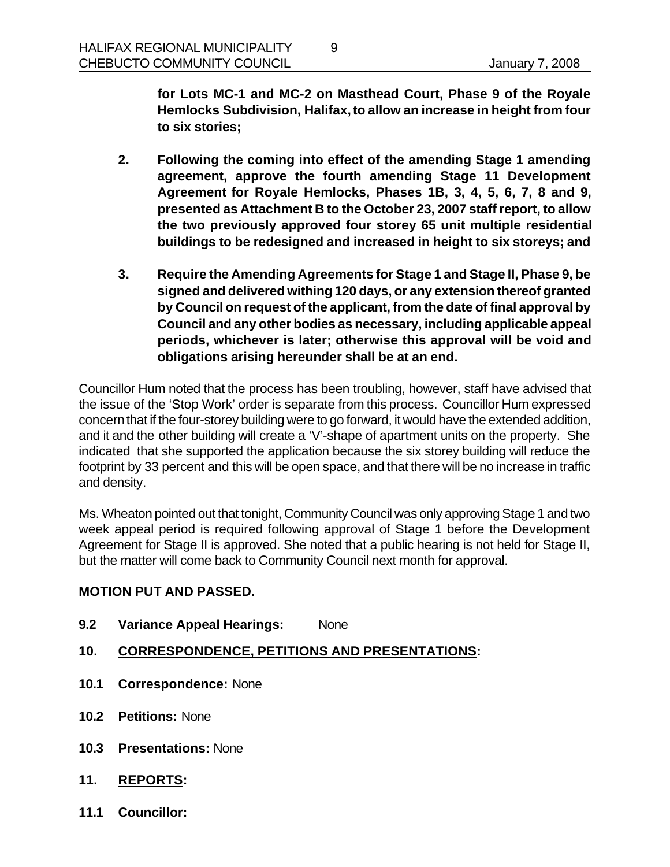**for Lots MC-1 and MC-2 on Masthead Court, Phase 9 of the Royale Hemlocks Subdivision, Halifax, to allow an increase in height from four to six stories;**

**2. Following the coming into effect of the amending Stage 1 amending agreement, approve the fourth amending Stage 11 Development Agreement for Royale Hemlocks, Phases 1B, 3, 4, 5, 6, 7, 8 and 9, presented as Attachment B to the October 23, 2007 staff report, to allow the two previously approved four storey 65 unit multiple residential buildings to be redesigned and increased in height to six storeys; and**

9

**3. Require the Amending Agreements for Stage 1 and Stage II, Phase 9, be signed and delivered withing 120 days, or any extension thereof granted by Council on request of the applicant, from the date of final approval by Council and any other bodies as necessary, including applicable appeal periods, whichever is later; otherwise this approval will be void and obligations arising hereunder shall be at an end.**

Councillor Hum noted that the process has been troubling, however, staff have advised that the issue of the 'Stop Work' order is separate from this process. Councillor Hum expressed concern that if the four-storey building were to go forward, it would have the extended addition, and it and the other building will create a 'V'-shape of apartment units on the property. She indicated that she supported the application because the six storey building will reduce the footprint by 33 percent and this will be open space, and that there will be no increase in traffic and density.

Ms. Wheaton pointed out that tonight, Community Council was only approving Stage 1 and two week appeal period is required following approval of Stage 1 before the Development Agreement for Stage II is approved. She noted that a public hearing is not held for Stage II, but the matter will come back to Community Council next month for approval.

#### **MOTION PUT AND PASSED.**

- **9.2 Variance Appeal Hearings:** None
- **10. CORRESPONDENCE, PETITIONS AND PRESENTATIONS:**
- **10.1 Correspondence:** None
- **10.2 Petitions:** None
- **10.3 Presentations:** None
- **11. REPORTS:**
- **11.1 Councillor:**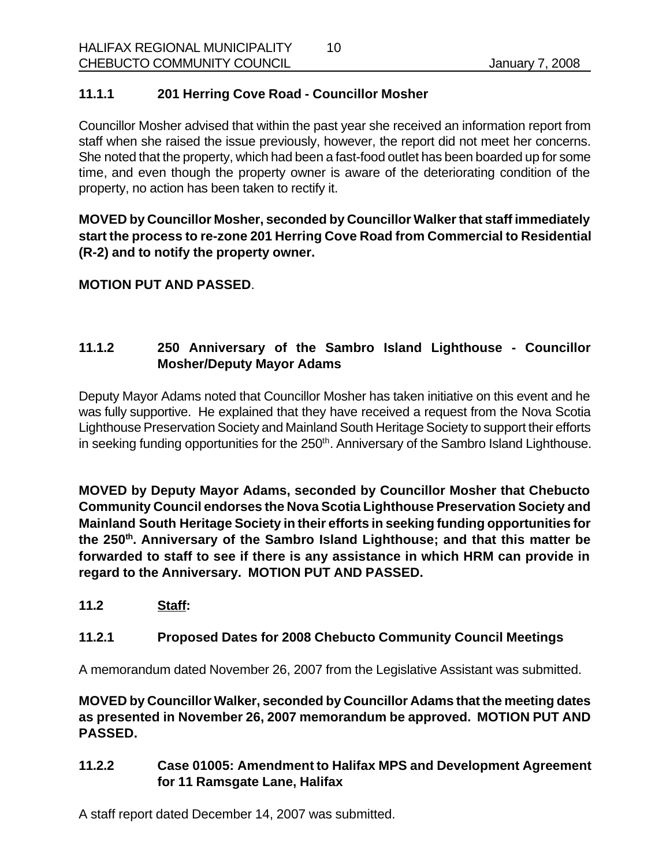## **11.1.1 201 Herring Cove Road - Councillor Mosher**

Councillor Mosher advised that within the past year she received an information report from staff when she raised the issue previously, however, the report did not meet her concerns. She noted that the property, which had been a fast-food outlet has been boarded up for some time, and even though the property owner is aware of the deteriorating condition of the property, no action has been taken to rectify it.

10

**MOVED by Councillor Mosher, seconded by Councillor Walker that staff immediately start the process to re-zone 201 Herring Cove Road from Commercial to Residential (R-2) and to notify the property owner.**

### **MOTION PUT AND PASSED**.

# **11.1.2 250 Anniversary of the Sambro Island Lighthouse - Councillor Mosher/Deputy Mayor Adams**

Deputy Mayor Adams noted that Councillor Mosher has taken initiative on this event and he was fully supportive. He explained that they have received a request from the Nova Scotia Lighthouse Preservation Society and Mainland South Heritage Society to support their efforts in seeking funding opportunities for the 250<sup>th</sup>. Anniversary of the Sambro Island Lighthouse.

**MOVED by Deputy Mayor Adams, seconded by Councillor Mosher that Chebucto Community Council endorses the Nova Scotia Lighthouse Preservation Society and Mainland South Heritage Society in their efforts in seeking funding opportunities for the 250th . Anniversary of the Sambro Island Lighthouse; and that this matter be forwarded to staff to see if there is any assistance in which HRM can provide in regard to the Anniversary. MOTION PUT AND PASSED.**

**11.2 Staff:**

## **11.2.1 Proposed Dates for 2008 Chebucto Community Council Meetings**

A memorandum dated November 26, 2007 from the Legislative Assistant was submitted.

**MOVED by Councillor Walker, seconded by Councillor Adams that the meeting dates as presented in November 26, 2007 memorandum be approved. MOTION PUT AND PASSED.**

**11.2.2 Case 01005: Amendment to Halifax MPS and Development Agreement for 11 Ramsgate Lane, Halifax** 

A staff report dated December 14, 2007 was submitted.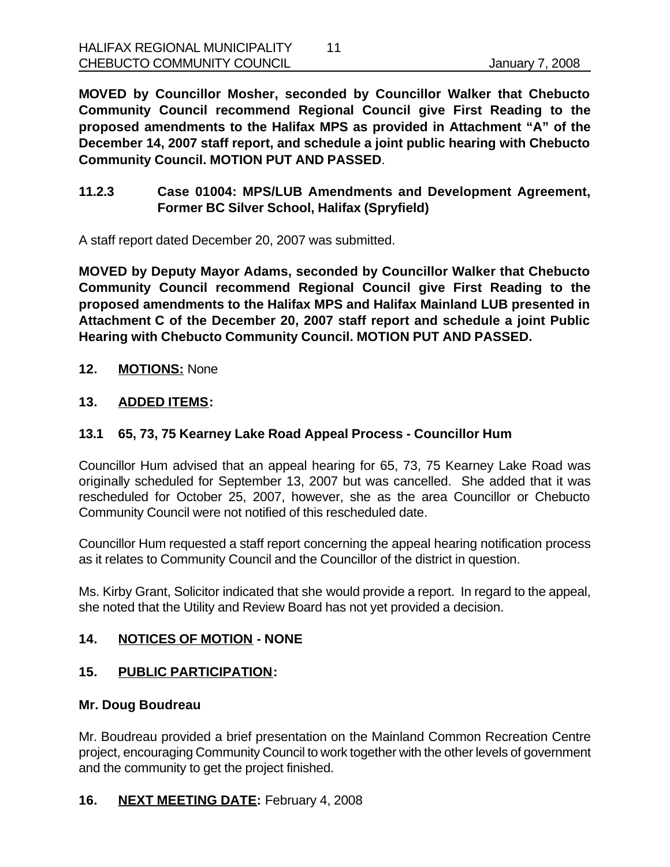**MOVED by Councillor Mosher, seconded by Councillor Walker that Chebucto Community Council recommend Regional Council give First Reading to the proposed amendments to the Halifax MPS as provided in Attachment "A" of the December 14, 2007 staff report, and schedule a joint public hearing with Chebucto Community Council. MOTION PUT AND PASSED**.

**11.2.3 Case 01004: MPS/LUB Amendments and Development Agreement, Former BC Silver School, Halifax (Spryfield)**

A staff report dated December 20, 2007 was submitted.

**MOVED by Deputy Mayor Adams, seconded by Councillor Walker that Chebucto Community Council recommend Regional Council give First Reading to the proposed amendments to the Halifax MPS and Halifax Mainland LUB presented in Attachment C of the December 20, 2007 staff report and schedule a joint Public Hearing with Chebucto Community Council. MOTION PUT AND PASSED.**

**12. MOTIONS:** None

## **13. ADDED ITEMS:**

## **13.1 65, 73, 75 Kearney Lake Road Appeal Process - Councillor Hum**

Councillor Hum advised that an appeal hearing for 65, 73, 75 Kearney Lake Road was originally scheduled for September 13, 2007 but was cancelled. She added that it was rescheduled for October 25, 2007, however, she as the area Councillor or Chebucto Community Council were not notified of this rescheduled date.

Councillor Hum requested a staff report concerning the appeal hearing notification process as it relates to Community Council and the Councillor of the district in question.

Ms. Kirby Grant, Solicitor indicated that she would provide a report. In regard to the appeal, she noted that the Utility and Review Board has not yet provided a decision.

#### **14. NOTICES OF MOTION - NONE**

#### **15. PUBLIC PARTICIPATION:**

#### **Mr. Doug Boudreau**

Mr. Boudreau provided a brief presentation on the Mainland Common Recreation Centre project, encouraging Community Council to work together with the other levels of government and the community to get the project finished.

## **16. NEXT MEETING DATE:** February 4, 2008